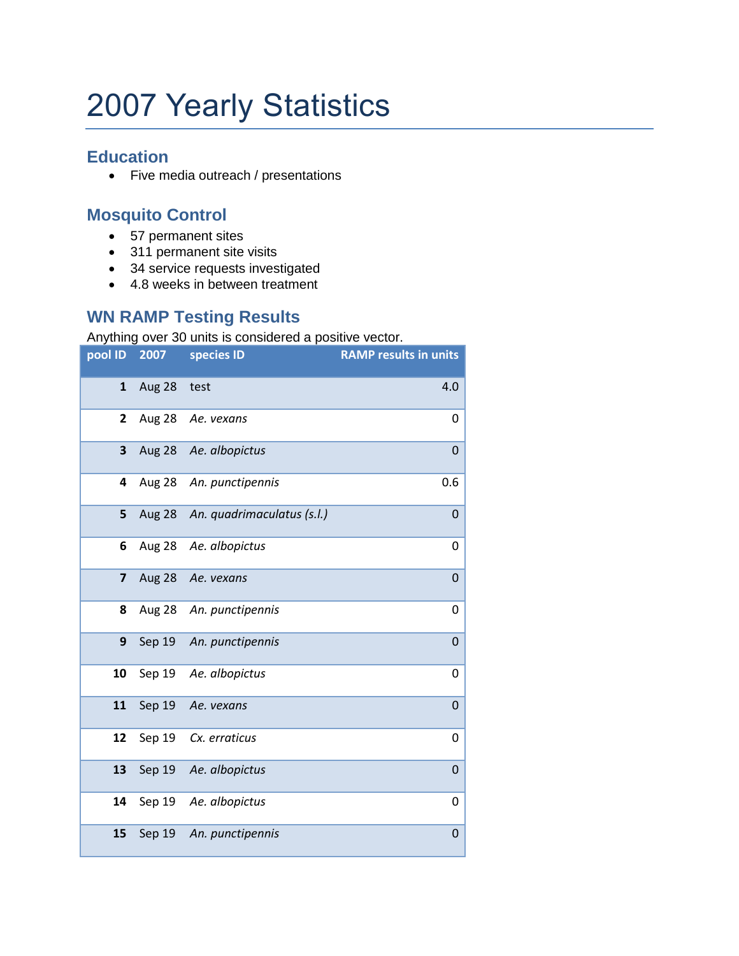## 2007 Yearly Statistics

## **Education**

• Five media outreach / presentations

## **Mosquito Control**

- 57 permanent sites
- 311 permanent site visits
- 34 service requests investigated
- 4.8 weeks in between treatment

## **WN RAMP Testing Results**

Anything over 30 units is considered a positive vector.

| pool ID      | 2007   | with this croit column to conclude to a positive vector.<br>species ID | <b>RAMP results in units</b> |
|--------------|--------|------------------------------------------------------------------------|------------------------------|
| $\mathbf{1}$ | Aug 28 | test                                                                   | 4.0                          |
| 2            | Aug 28 | Ae. vexans                                                             | 0                            |
| 3            | Aug 28 | Ae. albopictus                                                         | $\mathbf 0$                  |
| 4            | Aug 28 | An. punctipennis                                                       | 0.6                          |
| 5            | Aug 28 | An. quadrimaculatus (s.l.)                                             | 0                            |
| 6            | Aug 28 | Ae. albopictus                                                         | 0                            |
| 7            | Aug 28 | Ae. vexans                                                             | $\mathbf 0$                  |
| 8            | Aug 28 | An. punctipennis                                                       | 0                            |
| 9            | Sep 19 | An. punctipennis                                                       | $\mathbf 0$                  |
| 10           | Sep 19 | Ae. albopictus                                                         | 0                            |
| 11           | Sep 19 | Ae. vexans                                                             | 0                            |
| 12           | Sep 19 | Cx. erraticus                                                          | 0                            |
| 13           | Sep 19 | Ae. albopictus                                                         | $\mathbf 0$                  |
| 14           | Sep 19 | Ae. albopictus                                                         | 0                            |
| 15           | Sep 19 | An. punctipennis                                                       | $\mathbf 0$                  |